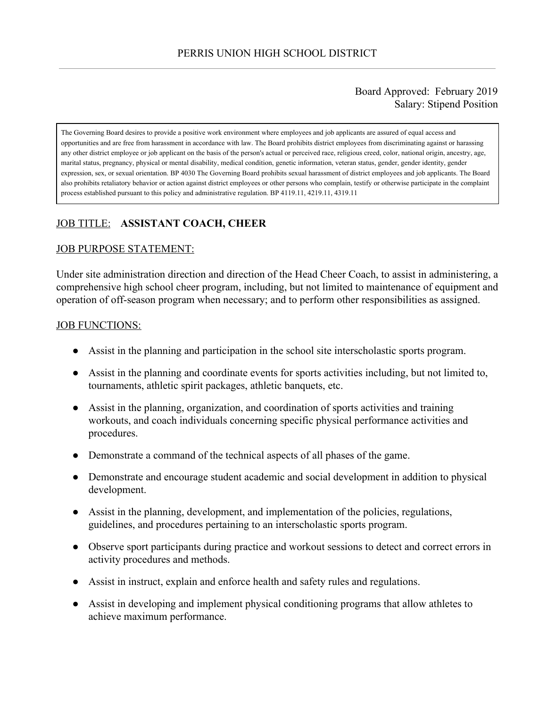### Board Approved: February 2019 Salary: Stipend Position

The Governing Board desires to provide a positive work environment where employees and job applicants are assured of equal access and opportunities and are free from harassment in accordance with law. The Board prohibits district employees from discriminating against or harassing any other district employee or job applicant on the basis of the person's actual or perceived race, religious creed, color, national origin, ancestry, age, marital status, pregnancy, physical or mental disability, medical condition, genetic information, veteran status, gender, gender identity, gender expression, sex, or sexual orientation. BP 4030 The Governing Board prohibits sexual harassment of district employees and job applicants. The Board also prohibits retaliatory behavior or action against district employees or other persons who complain, testify or otherwise participate in the complaint process established pursuant to this policy and administrative regulation. BP 4119.11, 4219.11, 4319.11

# JOB TITLE: **ASSISTANT COACH, CHEER**

### JOB PURPOSE STATEMENT:

Under site administration direction and direction of the Head Cheer Coach, to assist in administering, a comprehensive high school cheer program, including, but not limited to maintenance of equipment and operation of off-season program when necessary; and to perform other responsibilities as assigned.

#### JOB FUNCTIONS:

- Assist in the planning and participation in the school site interscholastic sports program.
- Assist in the planning and coordinate events for sports activities including, but not limited to, tournaments, athletic spirit packages, athletic banquets, etc.
- Assist in the planning, organization, and coordination of sports activities and training workouts, and coach individuals concerning specific physical performance activities and procedures.
- Demonstrate a command of the technical aspects of all phases of the game.
- Demonstrate and encourage student academic and social development in addition to physical development.
- Assist in the planning, development, and implementation of the policies, regulations, guidelines, and procedures pertaining to an interscholastic sports program.
- Observe sport participants during practice and workout sessions to detect and correct errors in activity procedures and methods.
- Assist in instruct, explain and enforce health and safety rules and regulations.
- Assist in developing and implement physical conditioning programs that allow athletes to achieve maximum performance.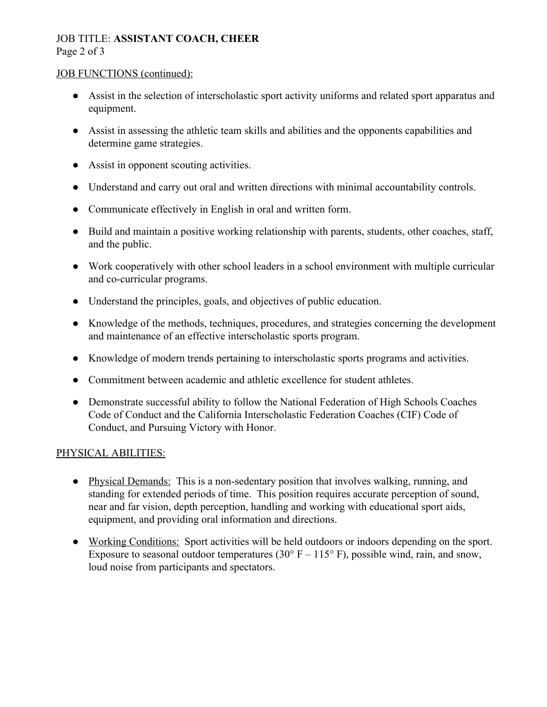## JOB TITLE: **ASSISTANT COACH, CHEER** Page 2 of 3

### JOB FUNCTIONS (continued):

- Assist in the selection of interscholastic sport activity uniforms and related sport apparatus and equipment.
- Assist in assessing the athletic team skills and abilities and the opponents capabilities and determine game strategies.
- Assist in opponent scouting activities.
- Understand and carry out oral and written directions with minimal accountability controls.
- Communicate effectively in English in oral and written form.
- Build and maintain a positive working relationship with parents, students, other coaches, staff, and the public.
- Work cooperatively with other school leaders in a school environment with multiple curricular and co-curricular programs.
- Understand the principles, goals, and objectives of public education.
- Knowledge of the methods, techniques, procedures, and strategies concerning the development and maintenance of an effective interscholastic sports program.
- Knowledge of modern trends pertaining to interscholastic sports programs and activities.
- Commitment between academic and athletic excellence for student athletes.
- Demonstrate successful ability to follow the National Federation of High Schools Coaches Code of Conduct and the California Interscholastic Federation Coaches (CIF) Code of Conduct, and Pursuing Victory with Honor.

## PHYSICAL ABILITIES:

- Physical Demands: This is a non-sedentary position that involves walking, running, and standing for extended periods of time. This position requires accurate perception of sound, near and far vision, depth perception, handling and working with educational sport aids, equipment, and providing oral information and directions.
- Working Conditions: Sport activities will be held outdoors or indoors depending on the sport. Exposure to seasonal outdoor temperatures (30 $\degree$  F – 115 $\degree$  F), possible wind, rain, and snow, loud noise from participants and spectators.